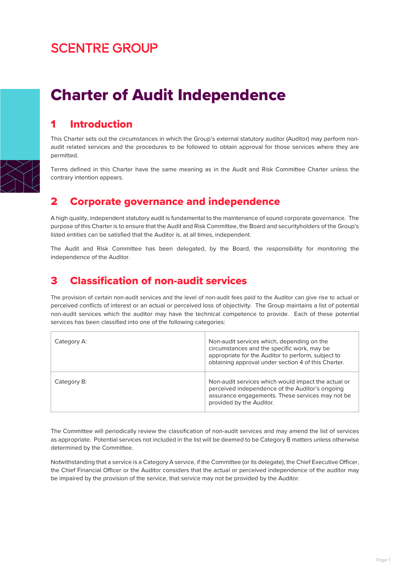## **SCENTRE GROUP**

# Charter of Audit Independence

### 1 Introduction

This Charter sets out the circumstances in which the Group's external statutory auditor (Auditor) may perform nonaudit related services and the procedures to be followed to obtain approval for those services where they are permitted.

Terms defined in this Charter have the same meaning as in the Audit and Risk Committee Charter unless the contrary intention appears.

#### 2 Corporate governance and independence

A high quality, independent statutory audit is fundamental to the maintenance of sound corporate governance. The purpose of this Charter is to ensure that the Audit and Risk Committee, the Board and securityholders of the Group's listed entities can be satisfied that the Auditor is, at all times, independent.

The Audit and Risk Committee has been delegated, by the Board, the responsibility for monitoring the independence of the Auditor.

#### 3 Classification of non-audit services

The provision of certain non-audit services and the level of non-audit fees paid to the Auditor can give rise to actual or perceived conflicts of interest or an actual or perceived loss of objectivity. The Group maintains a list of potential non-audit services which the auditor may have the technical competence to provide. Each of these potential services has been classified into one of the following categories:

| Category A: | Non-audit services which, depending on the<br>circumstances and the specific work, may be<br>appropriate for the Auditor to perform, subject to<br>obtaining approval under section 4 of this Charter. |
|-------------|--------------------------------------------------------------------------------------------------------------------------------------------------------------------------------------------------------|
| Category B: | Non-audit services which would impact the actual or<br>perceived independence of the Auditor's ongoing<br>assurance engagements. These services may not be<br>provided by the Auditor.                 |

The Committee will periodically review the classification of non-audit services and may amend the list of services as appropriate. Potential services not included in the list will be deemed to be Category B matters unless otherwise determined by the Committee.

Notwithstanding that a service is a Category A service, if the Committee (or its delegate), the Chief Executive Officer, the Chief Financial Officer or the Auditor considers that the actual or perceived independence of the auditor may be impaired by the provision of the service, that service may not be provided by the Auditor.